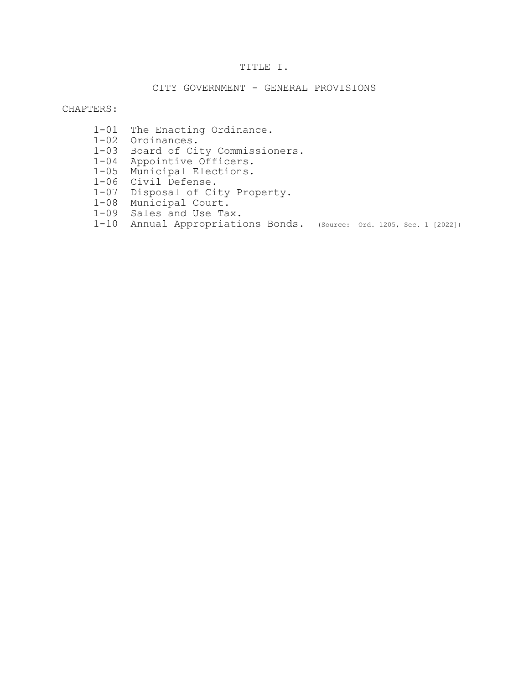# TITLE I.

## CITY GOVERNMENT - GENERAL PROVISIONS

## CHAPTERS:

- 1-01 The Enacting Ordinance.
- 1-02 Ordinances.
	- 1-03 Board of City Commissioners.
	- 1-04 Appointive Officers.
	- 1-05 Municipal Elections.
	- 1-06 Civil Defense.
	- 1-07 Disposal of City Property.
	- 1-08 Municipal Court.
	- 1-09 Sales and Use Tax.
	- 1-10 Annual Appropriations Bonds. (Source: Ord. 1205, Sec. 1 [2022])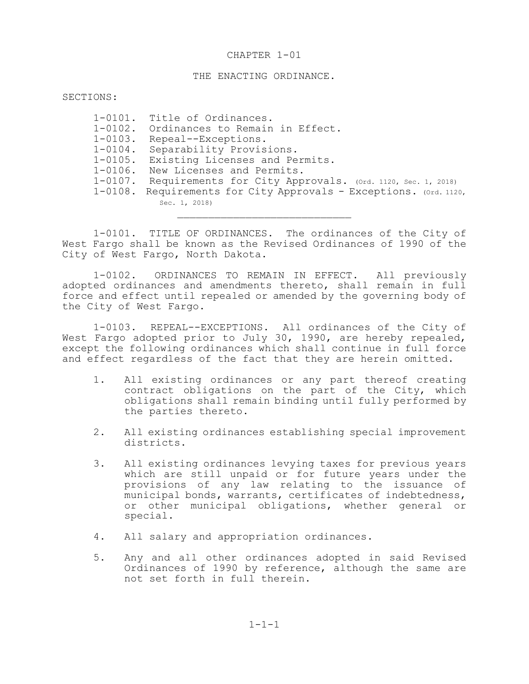### THE ENACTING ORDINANCE.

SECTIONS:

| $1 - 0101$ . | Title of Ordinances.                                       |
|--------------|------------------------------------------------------------|
| $1 - 0102$ . | Ordinances to Remain in Effect.                            |
| $1 - 0103$ . | Repeal--Exceptions.                                        |
| $1 - 0104$ . | Separability Provisions.                                   |
| $1 - 0105$ . | Existing Licenses and Permits.                             |
| $1 - 0106$ . | New Licenses and Permits.                                  |
| $1 - 0107$ . | Requirements for City Approvals. (Ord. 1120, Sec. 1, 2018) |
| $1 - 0108$ . | Requirements for City Approvals - Exceptions. (Ord. 1120,  |
|              | Sec. 1, 2018)                                              |

1-0101. TITLE OF ORDINANCES. The ordinances of the City of West Fargo shall be known as the Revised Ordinances of 1990 of the City of West Fargo, North Dakota.

1-0102. ORDINANCES TO REMAIN IN EFFECT. All previously adopted ordinances and amendments thereto, shall remain in full force and effect until repealed or amended by the governing body of the City of West Fargo.

1-0103. REPEAL--EXCEPTIONS. All ordinances of the City of West Fargo adopted prior to July 30, 1990, are hereby repealed, except the following ordinances which shall continue in full force and effect regardless of the fact that they are herein omitted.

- 1. All existing ordinances or any part thereof creating contract obligations on the part of the City, which obligations shall remain binding until fully performed by the parties thereto.
- 2. All existing ordinances establishing special improvement districts.
- 3. All existing ordinances levying taxes for previous years which are still unpaid or for future years under the provisions of any law relating to the issuance of municipal bonds, warrants, certificates of indebtedness, or other municipal obligations, whether general or special.
- 4. All salary and appropriation ordinances.
- 5. Any and all other ordinances adopted in said Revised Ordinances of 1990 by reference, although the same are not set forth in full therein.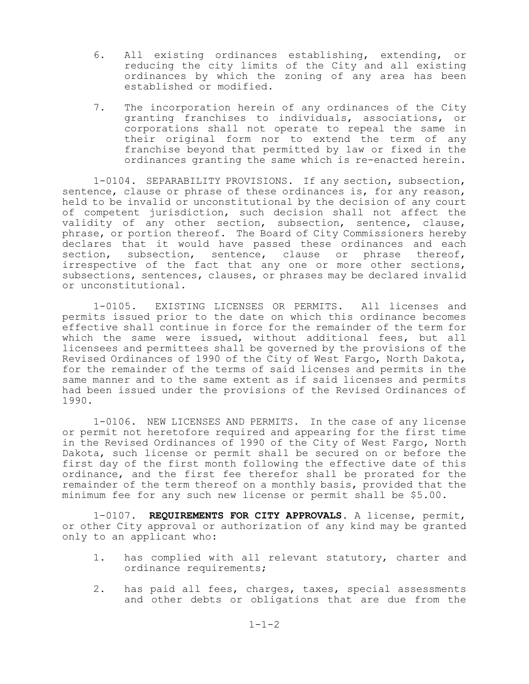- 6. All existing ordinances establishing, extending, or reducing the city limits of the City and all existing ordinances by which the zoning of any area has been established or modified.
- 7. The incorporation herein of any ordinances of the City granting franchises to individuals, associations, or corporations shall not operate to repeal the same in their original form nor to extend the term of any franchise beyond that permitted by law or fixed in the ordinances granting the same which is re-enacted herein.

1-0104. SEPARABILITY PROVISIONS. If any section, subsection, sentence, clause or phrase of these ordinances is, for any reason, held to be invalid or unconstitutional by the decision of any court of competent jurisdiction, such decision shall not affect the validity of any other section, subsection, sentence, clause, phrase, or portion thereof. The Board of City Commissioners hereby declares that it would have passed these ordinances and each section, subsection, sentence, clause or phrase thereof, irrespective of the fact that any one or more other sections, subsections, sentences, clauses, or phrases may be declared invalid or unconstitutional.

1-0105. EXISTING LICENSES OR PERMITS. All licenses and permits issued prior to the date on which this ordinance becomes effective shall continue in force for the remainder of the term for which the same were issued, without additional fees, but all licensees and permittees shall be governed by the provisions of the Revised Ordinances of 1990 of the City of West Fargo, North Dakota, for the remainder of the terms of said licenses and permits in the same manner and to the same extent as if said licenses and permits had been issued under the provisions of the Revised Ordinances of 1990.

1-0106. NEW LICENSES AND PERMITS. In the case of any license or permit not heretofore required and appearing for the first time in the Revised Ordinances of 1990 of the City of West Fargo, North Dakota, such license or permit shall be secured on or before the first day of the first month following the effective date of this ordinance, and the first fee therefor shall be prorated for the remainder of the term thereof on a monthly basis, provided that the minimum fee for any such new license or permit shall be \$5.00.

1-0107. **REQUIREMENTS FOR CITY APPROVALS.** A license, permit, or other City approval or authorization of any kind may be granted only to an applicant who:

- 1. has complied with all relevant statutory, charter and ordinance requirements;
- 2. has paid all fees, charges, taxes, special assessments and other debts or obligations that are due from the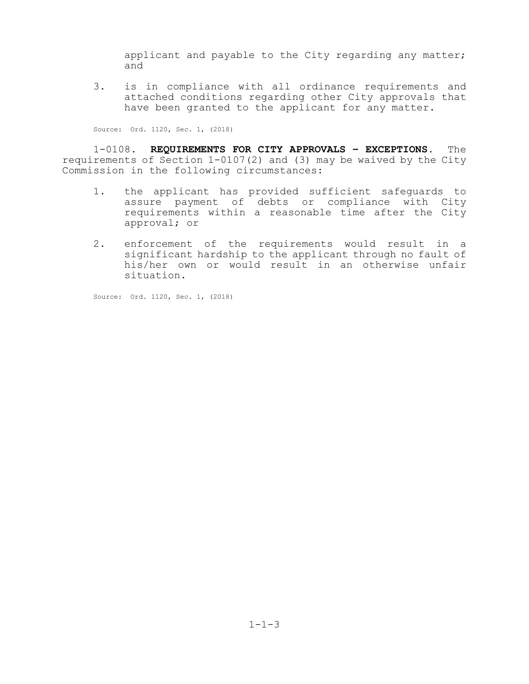applicant and payable to the City regarding any matter; and

3. is in compliance with all ordinance requirements and attached conditions regarding other City approvals that have been granted to the applicant for any matter.

Source: Ord. 1120, Sec. 1, (2018)

1-0108. **REQUIREMENTS FOR CITY APPROVALS – EXCEPTIONS.** The requirements of Section 1-0107(2) and (3) may be waived by the City Commission in the following circumstances:

- 1. the applicant has provided sufficient safeguards to assure payment of debts or compliance with City requirements within a reasonable time after the City approval; or
- 2. enforcement of the requirements would result in a significant hardship to the applicant through no fault of his/her own or would result in an otherwise unfair situation.

Source: Ord. 1120, Sec. 1, (2018)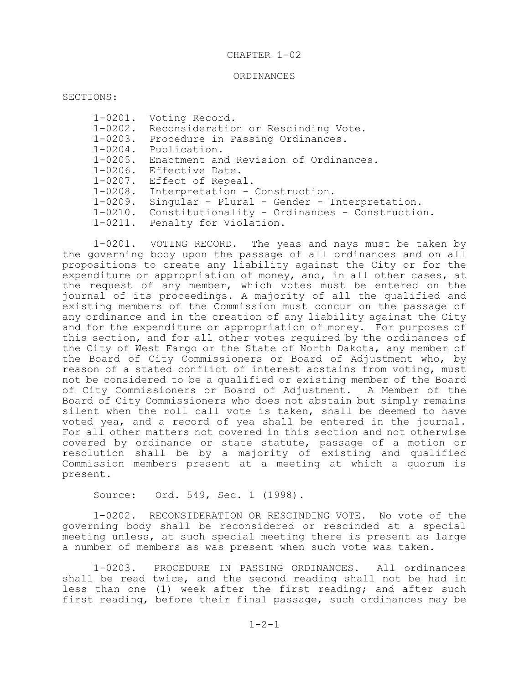### ORDINANCES

SECTIONS:

1-0201. Voting Record. 1-0202. Reconsideration or Rescinding Vote. 1-0203. Procedure in Passing Ordinances. 1-0204. Publication. 1-0205. Enactment and Revision of Ordinances. 1-0206. Effective Date. 1-0207. Effect of Repeal. 1-0208. Interpretation - Construction. 1-0209. Singular - Plural - Gender - Interpretation. 1-0210. Constitutionality - Ordinances - Construction. 1-0211. Penalty for Violation.

1-0201. VOTING RECORD. The yeas and nays must be taken by the governing body upon the passage of all ordinances and on all propositions to create any liability against the City or for the expenditure or appropriation of money, and, in all other cases, at the request of any member, which votes must be entered on the journal of its proceedings. A majority of all the qualified and existing members of the Commission must concur on the passage of any ordinance and in the creation of any liability against the City and for the expenditure or appropriation of money. For purposes of this section, and for all other votes required by the ordinances of the City of West Fargo or the State of North Dakota, any member of the Board of City Commissioners or Board of Adjustment who, by reason of a stated conflict of interest abstains from voting, must not be considered to be a qualified or existing member of the Board of City Commissioners or Board of Adjustment. A Member of the Board of City Commissioners who does not abstain but simply remains silent when the roll call vote is taken, shall be deemed to have voted yea, and a record of yea shall be entered in the journal. For all other matters not covered in this section and not otherwise covered by ordinance or state statute, passage of a motion or resolution shall be by a majority of existing and qualified Commission members present at a meeting at which a quorum is present.

Source: Ord. 549, Sec. 1 (1998).

1-0202. RECONSIDERATION OR RESCINDING VOTE. No vote of the governing body shall be reconsidered or rescinded at a special meeting unless, at such special meeting there is present as large a number of members as was present when such vote was taken.

1-0203. PROCEDURE IN PASSING ORDINANCES. All ordinances shall be read twice, and the second reading shall not be had in less than one (1) week after the first reading; and after such first reading, before their final passage, such ordinances may be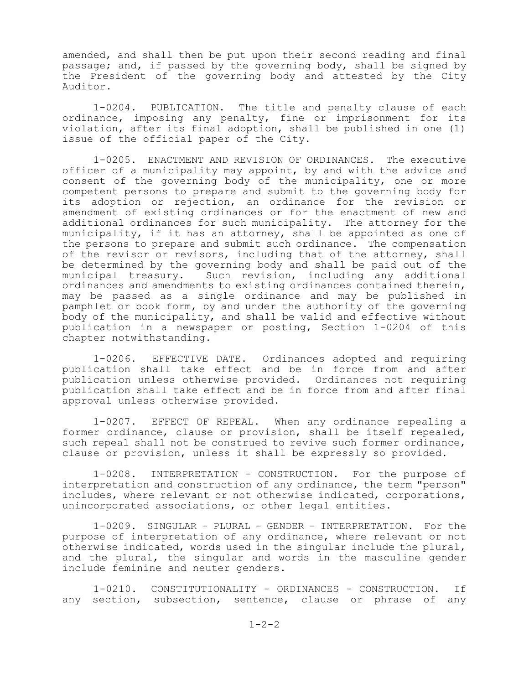amended, and shall then be put upon their second reading and final passage; and, if passed by the governing body, shall be signed by the President of the governing body and attested by the City Auditor.

1-0204. PUBLICATION. The title and penalty clause of each ordinance, imposing any penalty, fine or imprisonment for its violation, after its final adoption, shall be published in one (1) issue of the official paper of the City.

1-0205. ENACTMENT AND REVISION OF ORDINANCES. The executive officer of a municipality may appoint, by and with the advice and consent of the governing body of the municipality, one or more competent persons to prepare and submit to the governing body for its adoption or rejection, an ordinance for the revision or amendment of existing ordinances or for the enactment of new and additional ordinances for such municipality. The attorney for the municipality, if it has an attorney, shall be appointed as one of the persons to prepare and submit such ordinance. The compensation of the revisor or revisors, including that of the attorney, shall be determined by the governing body and shall be paid out of the<br>municipal treasury. Such revision, including any additional Such revision, including any additional ordinances and amendments to existing ordinances contained therein, may be passed as a single ordinance and may be published in pamphlet or book form, by and under the authority of the governing body of the municipality, and shall be valid and effective without publication in a newspaper or posting, Section 1-0204 of this chapter notwithstanding.

1-0206. EFFECTIVE DATE. Ordinances adopted and requiring publication shall take effect and be in force from and after publication unless otherwise provided. Ordinances not requiring publication shall take effect and be in force from and after final approval unless otherwise provided.

1-0207. EFFECT OF REPEAL. When any ordinance repealing a former ordinance, clause or provision, shall be itself repealed, such repeal shall not be construed to revive such former ordinance, clause or provision, unless it shall be expressly so provided.

1-0208. INTERPRETATION - CONSTRUCTION. For the purpose of interpretation and construction of any ordinance, the term "person" includes, where relevant or not otherwise indicated, corporations, unincorporated associations, or other legal entities.

1-0209. SINGULAR - PLURAL - GENDER - INTERPRETATION. For the purpose of interpretation of any ordinance, where relevant or not otherwise indicated, words used in the singular include the plural, and the plural, the singular and words in the masculine gender include feminine and neuter genders.

1-0210. CONSTITUTIONALITY - ORDINANCES - CONSTRUCTION. If any section, subsection, sentence, clause or phrase of any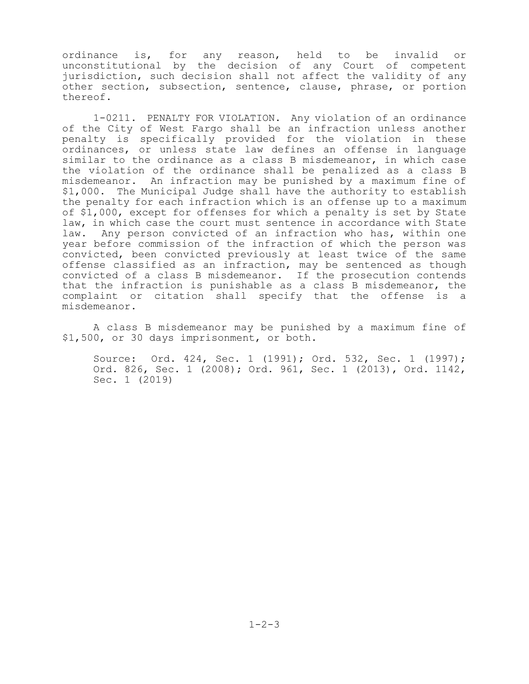ordinance is, for any reason, held to be invalid or unconstitutional by the decision of any Court of competent jurisdiction, such decision shall not affect the validity of any other section, subsection, sentence, clause, phrase, or portion thereof.

1-0211. PENALTY FOR VIOLATION. Any violation of an ordinance of the City of West Fargo shall be an infraction unless another penalty is specifically provided for the violation in these ordinances, or unless state law defines an offense in language similar to the ordinance as a class B misdemeanor, in which case the violation of the ordinance shall be penalized as a class B misdemeanor. An infraction may be punished by a maximum fine of \$1,000. The Municipal Judge shall have the authority to establish the penalty for each infraction which is an offense up to a maximum of \$1,000, except for offenses for which a penalty is set by State law, in which case the court must sentence in accordance with State law. Any person convicted of an infraction who has, within one year before commission of the infraction of which the person was convicted, been convicted previously at least twice of the same offense classified as an infraction, may be sentenced as though convicted of a class B misdemeanor. If the prosecution contends that the infraction is punishable as a class B misdemeanor, the complaint or citation shall specify that the offense is a misdemeanor.

A class B misdemeanor may be punished by a maximum fine of \$1,500, or 30 days imprisonment, or both.

Source: Ord. 424, Sec. 1 (1991); Ord. 532, Sec. 1 (1997); Ord. 826, Sec. 1 (2008); Ord. 961, Sec. 1 (2013), Ord. 1142, Sec. 1 (2019)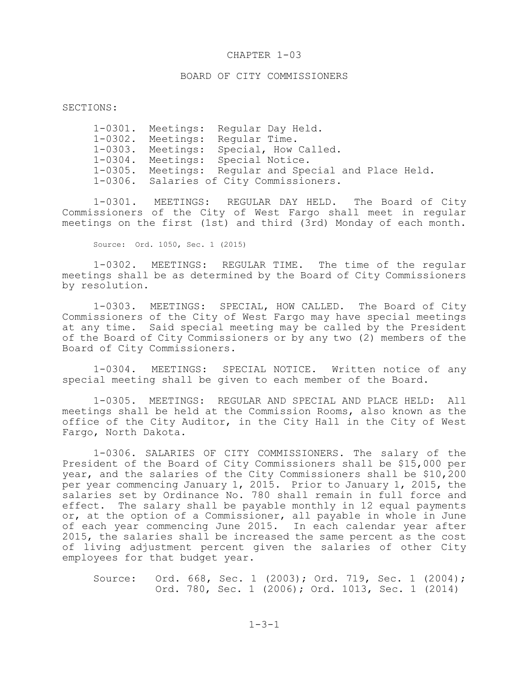# BOARD OF CITY COMMISSIONERS

### SECTIONS:

|              | 1-0301. Meetings: Regular Day Held.                   |
|--------------|-------------------------------------------------------|
| $1 - 0302$ . | Meetings: Regular Time.                               |
|              | 1-0303. Meetings: Special, How Called.                |
|              | 1-0304. Meetings: Special Notice.                     |
|              | 1-0305. Meetings: Regular and Special and Place Held. |
|              | 1-0306. Salaries of City Commissioners.               |

1-0301. MEETINGS: REGULAR DAY HELD. The Board of City Commissioners of the City of West Fargo shall meet in regular meetings on the first (1st) and third (3rd) Monday of each month.

Source: Ord. 1050, Sec. 1 (2015)

1-0302. MEETINGS: REGULAR TIME. The time of the regular meetings shall be as determined by the Board of City Commissioners by resolution.

1-0303. MEETINGS: SPECIAL, HOW CALLED. The Board of City Commissioners of the City of West Fargo may have special meetings at any time. Said special meeting may be called by the President of the Board of City Commissioners or by any two (2) members of the Board of City Commissioners.

1-0304. MEETINGS: SPECIAL NOTICE. Written notice of any special meeting shall be given to each member of the Board.

1-0305. MEETINGS: REGULAR AND SPECIAL AND PLACE HELD: All meetings shall be held at the Commission Rooms, also known as the office of the City Auditor, in the City Hall in the City of West Fargo, North Dakota.

1-0306. SALARIES OF CITY COMMISSIONERS. The salary of the President of the Board of City Commissioners shall be \$15,000 per year, and the salaries of the City Commissioners shall be \$10,200 per year commencing January 1, 2015. Prior to January 1, 2015, the salaries set by Ordinance No. 780 shall remain in full force and effect. The salary shall be payable monthly in 12 equal payments or, at the option of a Commissioner, all payable in whole in June of each year commencing June 2015. In each calendar year after 2015, the salaries shall be increased the same percent as the cost of living adjustment percent given the salaries of other City employees for that budget year.

Source: Ord. 668, Sec. 1 (2003); Ord. 719, Sec. 1 (2004); Ord. 780, Sec. 1 (2006); Ord. 1013, Sec. 1 (2014)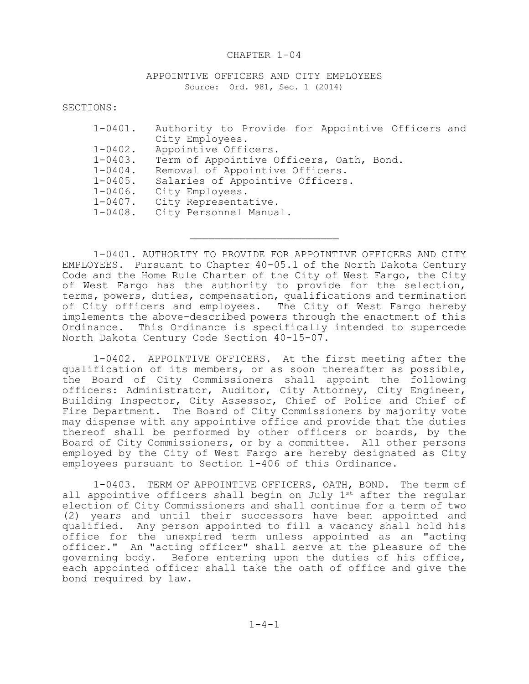## APPOINTIVE OFFICERS AND CITY EMPLOYEES Source: Ord. 981, Sec. 1 (2014)

SECTIONS:

| $1 - 0401$ . | Authority to Provide for Appointive Officers and |
|--------------|--------------------------------------------------|
|              | City Employees.                                  |
| $1 - 0402$ . | Appointive Officers.                             |
| 1-0403.      | Term of Appointive Officers, Oath, Bond.         |
| $1 - 0404$ . | Removal of Appointive Officers.                  |
| $1 - 0405$ . | Salaries of Appointive Officers.                 |
| $1 - 0406$ . | City Employees.                                  |
| $1 - 0407$ . | City Representative.                             |
| $1 - 0408$ . | City Personnel Manual.                           |

1-0401. AUTHORITY TO PROVIDE FOR APPOINTIVE OFFICERS AND CITY EMPLOYEES. Pursuant to Chapter 40-05.1 of the North Dakota Century Code and the Home Rule Charter of the City of West Fargo, the City of West Fargo has the authority to provide for the selection, terms, powers, duties, compensation, qualifications and termination of City officers and employees. The City of West Fargo hereby implements the above-described powers through the enactment of this Ordinance. This Ordinance is specifically intended to supercede North Dakota Century Code Section 40-15-07.

 $\mathcal{L}_\text{max}$ 

1-0402. APPOINTIVE OFFICERS. At the first meeting after the qualification of its members, or as soon thereafter as possible, the Board of City Commissioners shall appoint the following officers: Administrator, Auditor, City Attorney, City Engineer, Building Inspector, City Assessor, Chief of Police and Chief of Fire Department. The Board of City Commissioners by majority vote may dispense with any appointive office and provide that the duties thereof shall be performed by other officers or boards, by the Board of City Commissioners, or by a committee. All other persons employed by the City of West Fargo are hereby designated as City employees pursuant to Section 1-406 of this Ordinance.

1-0403. TERM OF APPOINTIVE OFFICERS, OATH, BOND. The term of all appointive officers shall begin on July 1st after the regular election of City Commissioners and shall continue for a term of two (2) years and until their successors have been appointed and qualified. Any person appointed to fill a vacancy shall hold his office for the unexpired term unless appointed as an "acting officer." An "acting officer" shall serve at the pleasure of the governing body. Before entering upon the duties of his office, each appointed officer shall take the oath of office and give the bond required by law.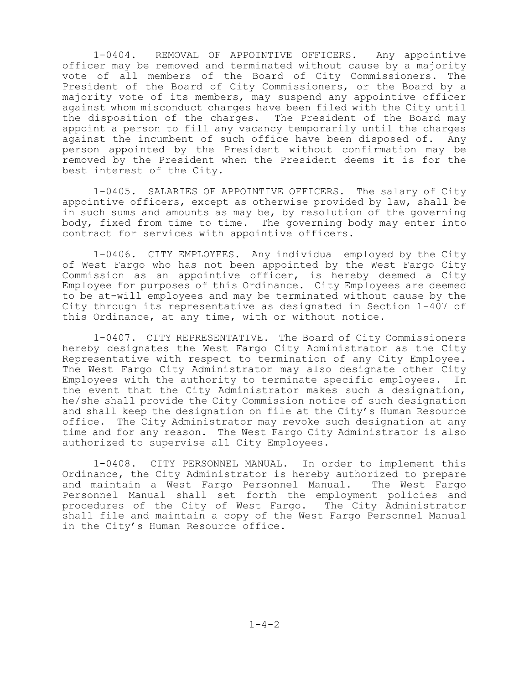1-0404. REMOVAL OF APPOINTIVE OFFICERS. Any appointive officer may be removed and terminated without cause by a majority vote of all members of the Board of City Commissioners. The President of the Board of City Commissioners, or the Board by a majority vote of its members, may suspend any appointive officer against whom misconduct charges have been filed with the City until the disposition of the charges. The President of the Board may appoint a person to fill any vacancy temporarily until the charges against the incumbent of such office have been disposed of. Any person appointed by the President without confirmation may be removed by the President when the President deems it is for the best interest of the City.

1-0405. SALARIES OF APPOINTIVE OFFICERS. The salary of City appointive officers, except as otherwise provided by law, shall be in such sums and amounts as may be, by resolution of the governing body, fixed from time to time. The governing body may enter into contract for services with appointive officers.

1-0406. CITY EMPLOYEES. Any individual employed by the City of West Fargo who has not been appointed by the West Fargo City Commission as an appointive officer, is hereby deemed a City Employee for purposes of this Ordinance. City Employees are deemed to be at-will employees and may be terminated without cause by the City through its representative as designated in Section 1-407 of this Ordinance, at any time, with or without notice.

1-0407. CITY REPRESENTATIVE. The Board of City Commissioners hereby designates the West Fargo City Administrator as the City Representative with respect to termination of any City Employee. The West Fargo City Administrator may also designate other City Employees with the authority to terminate specific employees. In the event that the City Administrator makes such a designation, he/she shall provide the City Commission notice of such designation and shall keep the designation on file at the City's Human Resource office. The City Administrator may revoke such designation at any time and for any reason. The West Fargo City Administrator is also authorized to supervise all City Employees.

1-0408. CITY PERSONNEL MANUAL. In order to implement this Ordinance, the City Administrator is hereby authorized to prepare<br>and maintain a West Fargo Personnel Manual. The West Fargo and maintain a West Fargo Personnel Manual. Personnel Manual shall set forth the employment policies and procedures of the City of West Fargo. The City Administrator shall file and maintain a copy of the West Fargo Personnel Manual in the City's Human Resource office.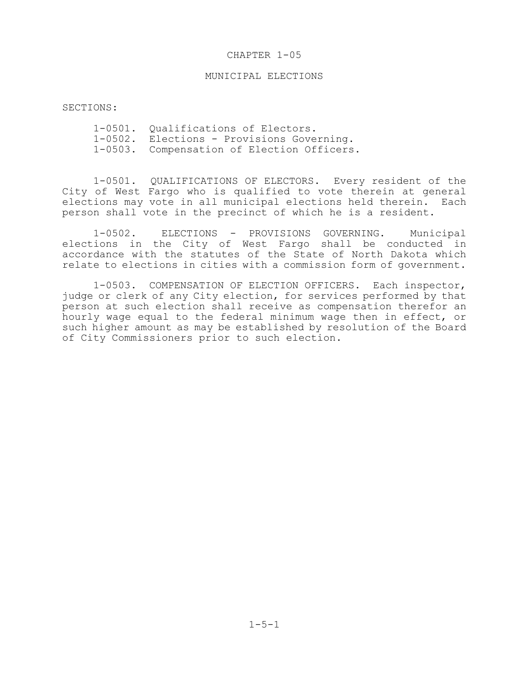## MUNICIPAL ELECTIONS

SECTIONS:

1-0501. Qualifications of Electors. 1-0502. Elections - Provisions Governing. 1-0503. Compensation of Election Officers.

1-0501. QUALIFICATIONS OF ELECTORS. Every resident of the City of West Fargo who is qualified to vote therein at general elections may vote in all municipal elections held therein. Each person shall vote in the precinct of which he is a resident.

1-0502. ELECTIONS - PROVISIONS GOVERNING. Municipal elections in the City of West Fargo shall be conducted in accordance with the statutes of the State of North Dakota which relate to elections in cities with a commission form of government.

1-0503. COMPENSATION OF ELECTION OFFICERS. Each inspector, judge or clerk of any City election, for services performed by that person at such election shall receive as compensation therefor an hourly wage equal to the federal minimum wage then in effect, or such higher amount as may be established by resolution of the Board of City Commissioners prior to such election.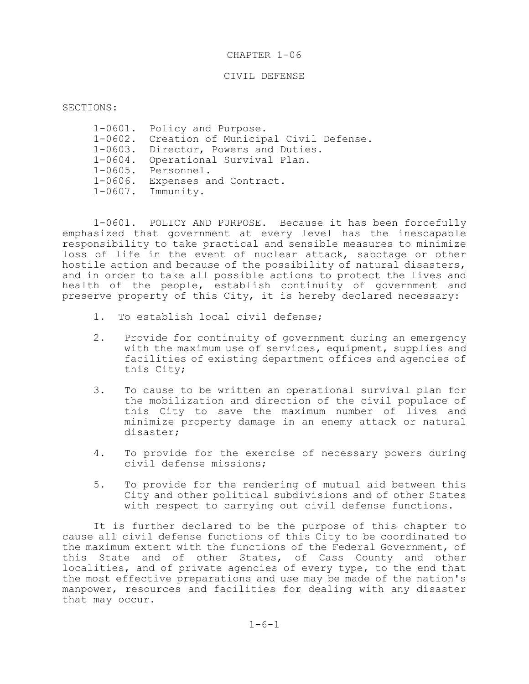## CIVIL DEFENSE

SECTIONS:

1-0601. Policy and Purpose. 1-0602. Creation of Municipal Civil Defense. 1-0603. Director, Powers and Duties. 1-0604. Operational Survival Plan. 1-0605. Personnel. 1-0606. Expenses and Contract. 1-0607. Immunity.

1-0601. POLICY AND PURPOSE. Because it has been forcefully emphasized that government at every level has the inescapable responsibility to take practical and sensible measures to minimize loss of life in the event of nuclear attack, sabotage or other hostile action and because of the possibility of natural disasters, and in order to take all possible actions to protect the lives and health of the people, establish continuity of government and preserve property of this City, it is hereby declared necessary:

- 1. To establish local civil defense;
- 2. Provide for continuity of government during an emergency with the maximum use of services, equipment, supplies and facilities of existing department offices and agencies of this City;
- 3. To cause to be written an operational survival plan for the mobilization and direction of the civil populace of this City to save the maximum number of lives and minimize property damage in an enemy attack or natural disaster;
- 4. To provide for the exercise of necessary powers during civil defense missions;
- 5. To provide for the rendering of mutual aid between this City and other political subdivisions and of other States with respect to carrying out civil defense functions.

It is further declared to be the purpose of this chapter to cause all civil defense functions of this City to be coordinated to the maximum extent with the functions of the Federal Government, of this State and of other States, of Cass County and other localities, and of private agencies of every type, to the end that the most effective preparations and use may be made of the nation's manpower, resources and facilities for dealing with any disaster that may occur.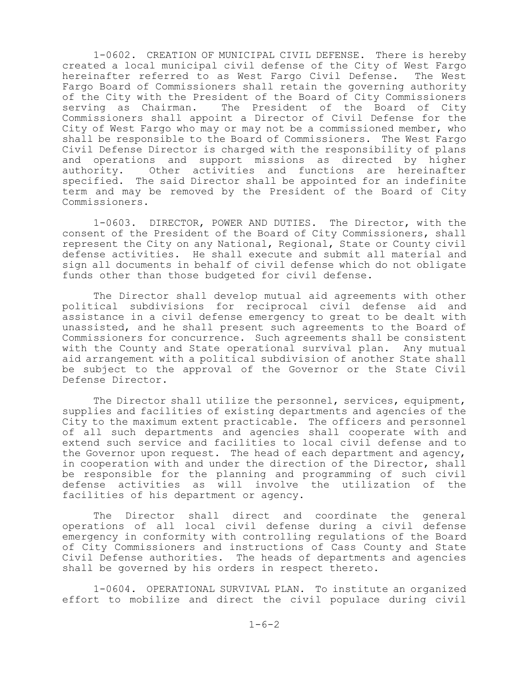1-0602. CREATION OF MUNICIPAL CIVIL DEFENSE. There is hereby created a local municipal civil defense of the City of West Fargo hereinafter referred to as West Fargo Civil Defense. The West Fargo Board of Commissioners shall retain the governing authority of the City with the President of the Board of City Commissioners serving as Chairman. The President of the Board of City Commissioners shall appoint a Director of Civil Defense for the City of West Fargo who may or may not be a commissioned member, who shall be responsible to the Board of Commissioners. The West Fargo Civil Defense Director is charged with the responsibility of plans and operations and support missions as directed by higher<br>authority. Other activities and functions are hereinafter Other activities and functions are hereinafter specified. The said Director shall be appointed for an indefinite term and may be removed by the President of the Board of City Commissioners.

1-0603. DIRECTOR, POWER AND DUTIES. The Director, with the consent of the President of the Board of City Commissioners, shall represent the City on any National, Regional, State or County civil defense activities. He shall execute and submit all material and sign all documents in behalf of civil defense which do not obligate funds other than those budgeted for civil defense.

The Director shall develop mutual aid agreements with other political subdivisions for reciprocal civil defense aid and assistance in a civil defense emergency to great to be dealt with unassisted, and he shall present such agreements to the Board of Commissioners for concurrence. Such agreements shall be consistent with the County and State operational survival plan. Any mutual aid arrangement with a political subdivision of another State shall be subject to the approval of the Governor or the State Civil Defense Director.

The Director shall utilize the personnel, services, equipment, supplies and facilities of existing departments and agencies of the City to the maximum extent practicable. The officers and personnel of all such departments and agencies shall cooperate with and extend such service and facilities to local civil defense and to the Governor upon request. The head of each department and agency, in cooperation with and under the direction of the Director, shall be responsible for the planning and programming of such civil defense activities as will involve the utilization of the facilities of his department or agency.

The Director shall direct and coordinate the general operations of all local civil defense during a civil defense emergency in conformity with controlling regulations of the Board of City Commissioners and instructions of Cass County and State Civil Defense authorities. The heads of departments and agencies shall be governed by his orders in respect thereto.

1-0604. OPERATIONAL SURVIVAL PLAN. To institute an organized effort to mobilize and direct the civil populace during civil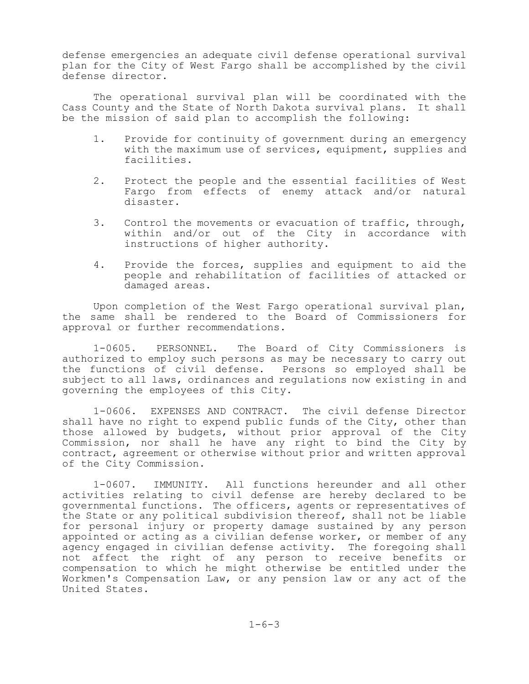defense emergencies an adequate civil defense operational survival plan for the City of West Fargo shall be accomplished by the civil defense director.

The operational survival plan will be coordinated with the Cass County and the State of North Dakota survival plans. It shall be the mission of said plan to accomplish the following:

- 1. Provide for continuity of government during an emergency with the maximum use of services, equipment, supplies and facilities.
- 2. Protect the people and the essential facilities of West Fargo from effects of enemy attack and/or natural disaster.
- 3. Control the movements or evacuation of traffic, through, within and/or out of the City in accordance with instructions of higher authority.
- 4. Provide the forces, supplies and equipment to aid the people and rehabilitation of facilities of attacked or damaged areas.

Upon completion of the West Fargo operational survival plan, the same shall be rendered to the Board of Commissioners for approval or further recommendations.

1-0605. PERSONNEL. The Board of City Commissioners is authorized to employ such persons as may be necessary to carry out the functions of civil defense. Persons so employed shall be subject to all laws, ordinances and regulations now existing in and governing the employees of this City.

1-0606. EXPENSES AND CONTRACT. The civil defense Director shall have no right to expend public funds of the City, other than those allowed by budgets, without prior approval of the City Commission, nor shall he have any right to bind the City by contract, agreement or otherwise without prior and written approval of the City Commission.

1-0607. IMMUNITY. All functions hereunder and all other activities relating to civil defense are hereby declared to be governmental functions. The officers, agents or representatives of the State or any political subdivision thereof, shall not be liable for personal injury or property damage sustained by any person appointed or acting as a civilian defense worker, or member of any agency engaged in civilian defense activity. The foregoing shall not affect the right of any person to receive benefits or compensation to which he might otherwise be entitled under the Workmen's Compensation Law, or any pension law or any act of the United States.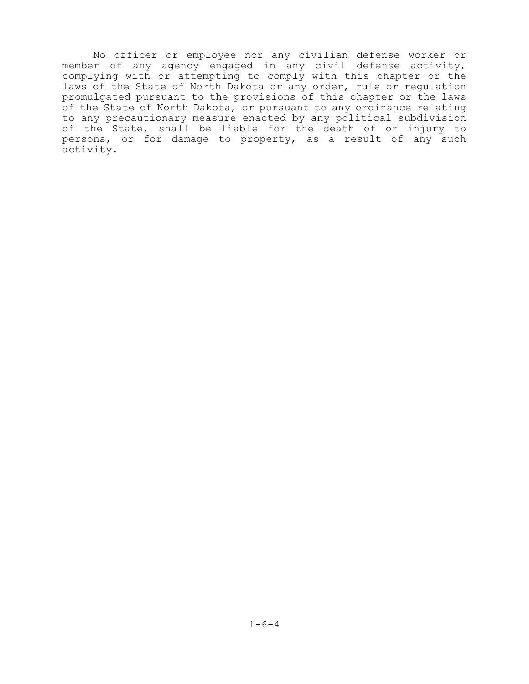No officer or employee nor any civilian defense worker or member of any agency engaged in any civil defense activity, complying with or attempting to comply with this chapter or the laws of the State of North Dakota or any order, rule or regulation promulgated pursuant to the provisions of this chapter or the laws of the State of North Dakota, or pursuant to any ordinance relating to any precautionary measure enacted by any political subdivision of the State, shall be liable for the death of or injury to persons, or for damage to property, as a result of any such activity.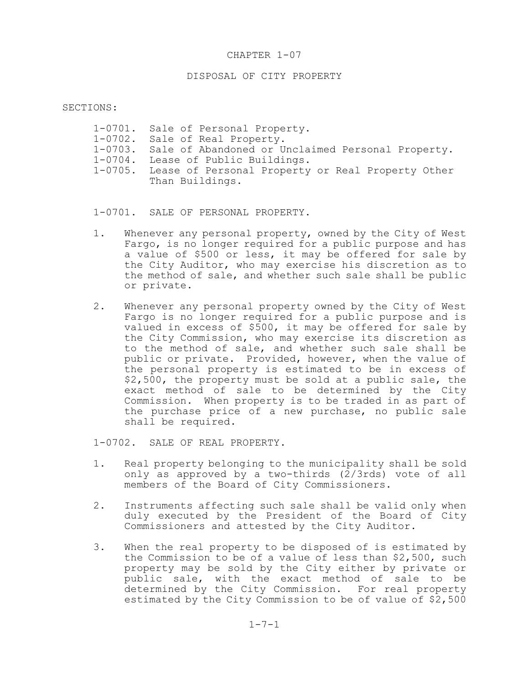# DISPOSAL OF CITY PROPERTY

### SECTIONS:

| 1-0701. Sale of Personal Property.                        |
|-----------------------------------------------------------|
| 1-0702. Sale of Real Property.                            |
| 1-0703. Sale of Abandoned or Unclaimed Personal Property. |
| 1-0704. Lease of Public Buildings.                        |
| 1-0705. Lease of Personal Property or Real Property Other |
| Than Buildings.                                           |

1-0701. SALE OF PERSONAL PROPERTY.

- 1. Whenever any personal property, owned by the City of West Fargo, is no longer required for a public purpose and has a value of \$500 or less, it may be offered for sale by the City Auditor, who may exercise his discretion as to the method of sale, and whether such sale shall be public or private.
- 2. Whenever any personal property owned by the City of West Fargo is no longer required for a public purpose and is valued in excess of \$500, it may be offered for sale by the City Commission, who may exercise its discretion as to the method of sale, and whether such sale shall be public or private. Provided, however, when the value of the personal property is estimated to be in excess of \$2,500, the property must be sold at a public sale, the exact method of sale to be determined by the City Commission. When property is to be traded in as part of the purchase price of a new purchase, no public sale shall be required.

1-0702. SALE OF REAL PROPERTY.

- 1. Real property belonging to the municipality shall be sold only as approved by a two-thirds (2/3rds) vote of all members of the Board of City Commissioners.
- 2. Instruments affecting such sale shall be valid only when duly executed by the President of the Board of City Commissioners and attested by the City Auditor.
- 3. When the real property to be disposed of is estimated by the Commission to be of a value of less than \$2,500, such property may be sold by the City either by private or public sale, with the exact method of sale to be determined by the City Commission. For real property estimated by the City Commission to be of value of \$2,500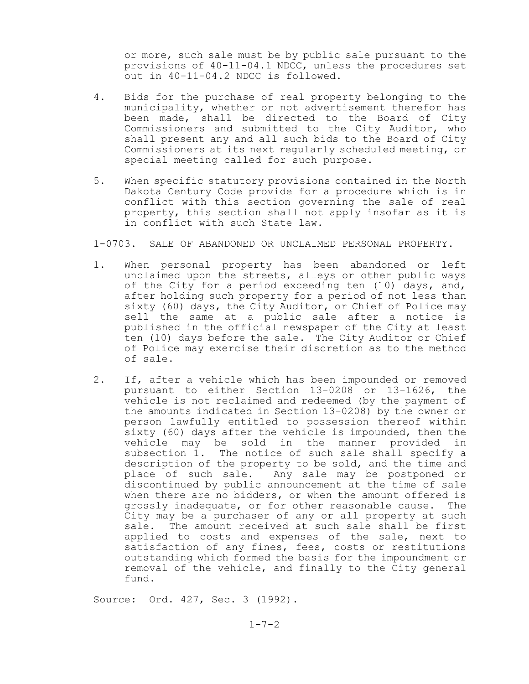or more, such sale must be by public sale pursuant to the provisions of 40-11-04.1 NDCC, unless the procedures set out in 40-11-04.2 NDCC is followed.

- 4. Bids for the purchase of real property belonging to the municipality, whether or not advertisement therefor has been made, shall be directed to the Board of City Commissioners and submitted to the City Auditor, who shall present any and all such bids to the Board of City Commissioners at its next regularly scheduled meeting, or special meeting called for such purpose.
- 5. When specific statutory provisions contained in the North Dakota Century Code provide for a procedure which is in conflict with this section governing the sale of real property, this section shall not apply insofar as it is in conflict with such State law.

1-0703. SALE OF ABANDONED OR UNCLAIMED PERSONAL PROPERTY.

- 1. When personal property has been abandoned or left unclaimed upon the streets, alleys or other public ways of the City for a period exceeding ten (10) days, and, after holding such property for a period of not less than sixty (60) days, the City Auditor, or Chief of Police may sell the same at a public sale after a notice is published in the official newspaper of the City at least ten (10) days before the sale. The City Auditor or Chief of Police may exercise their discretion as to the method of sale.
- 2. If, after a vehicle which has been impounded or removed pursuant to either Section 13-0208 or 13-1626, the vehicle is not reclaimed and redeemed (by the payment of the amounts indicated in Section 13-0208) by the owner or person lawfully entitled to possession thereof within sixty (60) days after the vehicle is impounded, then the vehicle may be sold in the manner provided in subsection 1. The notice of such sale shall specify a description of the property to be sold, and the time and place of such sale. Any sale may be postponed or discontinued by public announcement at the time of sale when there are no bidders, or when the amount offered is grossly inadequate, or for other reasonable cause. The City may be a purchaser of any or all property at such sale. The amount received at such sale shall be first applied to costs and expenses of the sale, next to satisfaction of any fines, fees, costs or restitutions outstanding which formed the basis for the impoundment or removal of the vehicle, and finally to the City general fund.

Source: Ord. 427, Sec. 3 (1992).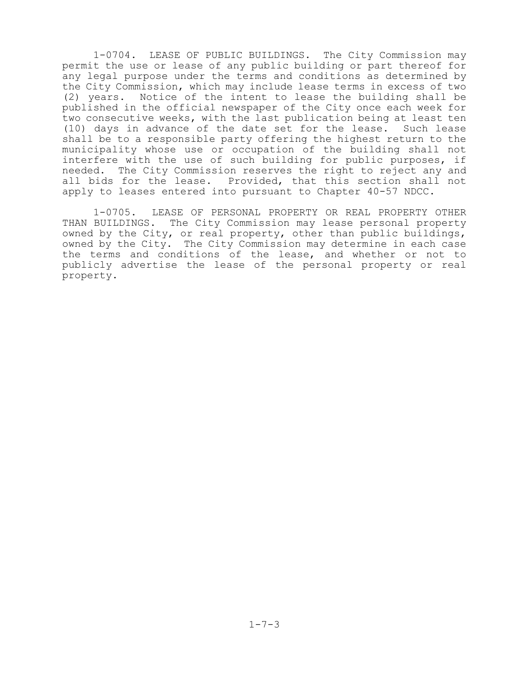1-0704. LEASE OF PUBLIC BUILDINGS. The City Commission may permit the use or lease of any public building or part thereof for any legal purpose under the terms and conditions as determined by the City Commission, which may include lease terms in excess of two (2) years. Notice of the intent to lease the building shall be published in the official newspaper of the City once each week for two consecutive weeks, with the last publication being at least ten (10) days in advance of the date set for the lease. Such lease shall be to a responsible party offering the highest return to the municipality whose use or occupation of the building shall not interfere with the use of such building for public purposes, if needed. The City Commission reserves the right to reject any and all bids for the lease. Provided, that this section shall not apply to leases entered into pursuant to Chapter 40-57 NDCC.

1-0705. LEASE OF PERSONAL PROPERTY OR REAL PROPERTY OTHER THAN BUILDINGS. The City Commission may lease personal property owned by the City, or real property, other than public buildings, owned by the City. The City Commission may determine in each case the terms and conditions of the lease, and whether or not to publicly advertise the lease of the personal property or real property.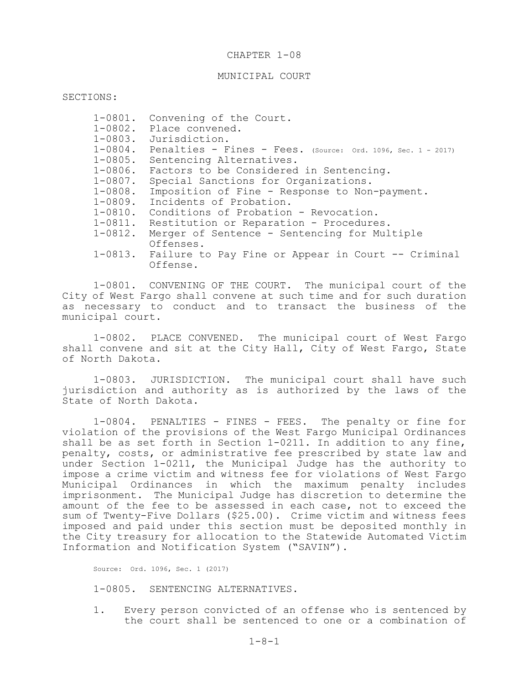### MUNICIPAL COURT

SECTIONS:

| $1 - 0801$ . | Convening of the Court.                                      |
|--------------|--------------------------------------------------------------|
|              | 1-0802. Place convened.                                      |
| $1 - 0803$ . | Jurisdiction.                                                |
| $1 - 0804$ . | Penalties - Fines - Fees. (Source: Ord. 1096, Sec. 1 - 2017) |
| $1 - 0805$ . | Sentencing Alternatives.                                     |
| $1 - 0806$ . | Factors to be Considered in Sentencing.                      |
| $1 - 0807$ . | Special Sanctions for Organizations.                         |
| $1 - 0808$ . | Imposition of Fine - Response to Non-payment.                |
| 1-0809.      | Incidents of Probation.                                      |
| $1 - 0810$ . | Conditions of Probation - Revocation.                        |
| $1 - 0811$ . | Restitution or Reparation - Procedures.                      |
| $1 - 0812$ . | Merger of Sentence - Sentencing for Multiple                 |
|              | Offenses.                                                    |
|              | 1-0813. Failure to Pay Fine or Appear in Court -- Criminal   |
|              | Offense.                                                     |

1-0801. CONVENING OF THE COURT. The municipal court of the City of West Fargo shall convene at such time and for such duration as necessary to conduct and to transact the business of the municipal court.

1-0802. PLACE CONVENED. The municipal court of West Fargo shall convene and sit at the City Hall, City of West Fargo, State of North Dakota.

1-0803. JURISDICTION. The municipal court shall have such jurisdiction and authority as is authorized by the laws of the State of North Dakota.

1-0804. PENALTIES - FINES - FEES. The penalty or fine for violation of the provisions of the West Fargo Municipal Ordinances shall be as set forth in Section 1-0211. In addition to any fine, penalty, costs, or administrative fee prescribed by state law and under Section 1-0211, the Municipal Judge has the authority to impose a crime victim and witness fee for violations of West Fargo Municipal Ordinances in which the maximum penalty includes imprisonment. The Municipal Judge has discretion to determine the amount of the fee to be assessed in each case, not to exceed the sum of Twenty-Five Dollars (\$25.00). Crime victim and witness fees imposed and paid under this section must be deposited monthly in the City treasury for allocation to the Statewide Automated Victim Information and Notification System ("SAVIN").

Source: Ord. 1096, Sec. 1 (2017)

1-0805. SENTENCING ALTERNATIVES.

1. Every person convicted of an offense who is sentenced by the court shall be sentenced to one or a combination of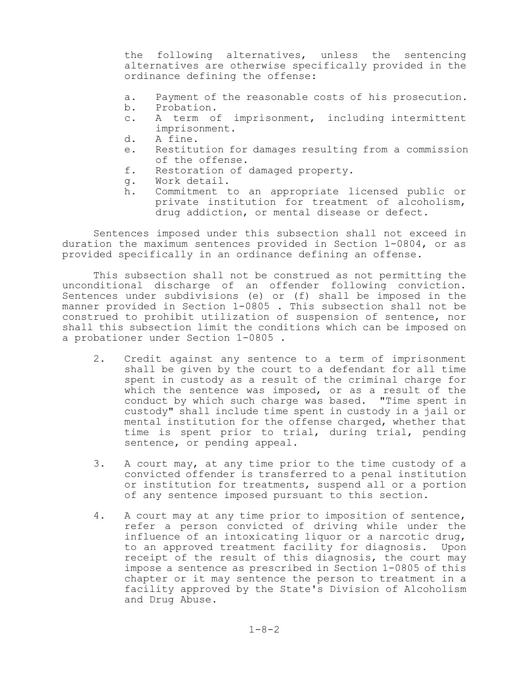the following alternatives, unless the sentencing alternatives are otherwise specifically provided in the ordinance defining the offense:

- a. Payment of the reasonable costs of his prosecution.
- b. Probation.
- c. A term of imprisonment, including intermittent imprisonment.
- d. A fine.
- e. Restitution for damages resulting from a commission of the offense.
- f. Restoration of damaged property.
- g. Work detail.
- h. Commitment to an appropriate licensed public or private institution for treatment of alcoholism, drug addiction, or mental disease or defect.

Sentences imposed under this subsection shall not exceed in duration the maximum sentences provided in Section 1-0804, or as provided specifically in an ordinance defining an offense.

This subsection shall not be construed as not permitting the unconditional discharge of an offender following conviction. Sentences under subdivisions (e) or (f) shall be imposed in the manner provided in Section 1-0805 . This subsection shall not be construed to prohibit utilization of suspension of sentence, nor shall this subsection limit the conditions which can be imposed on a probationer under Section 1-0805 .

- 2. Credit against any sentence to a term of imprisonment shall be given by the court to a defendant for all time spent in custody as a result of the criminal charge for which the sentence was imposed, or as a result of the conduct by which such charge was based. "Time spent in custody" shall include time spent in custody in a jail or mental institution for the offense charged, whether that time is spent prior to trial, during trial, pending sentence, or pending appeal.
- 3. A court may, at any time prior to the time custody of a convicted offender is transferred to a penal institution or institution for treatments, suspend all or a portion of any sentence imposed pursuant to this section.
- 4. A court may at any time prior to imposition of sentence, refer a person convicted of driving while under the influence of an intoxicating liquor or a narcotic drug, to an approved treatment facility for diagnosis. Upon receipt of the result of this diagnosis, the court may impose a sentence as prescribed in Section 1-0805 of this chapter or it may sentence the person to treatment in a facility approved by the State's Division of Alcoholism and Drug Abuse.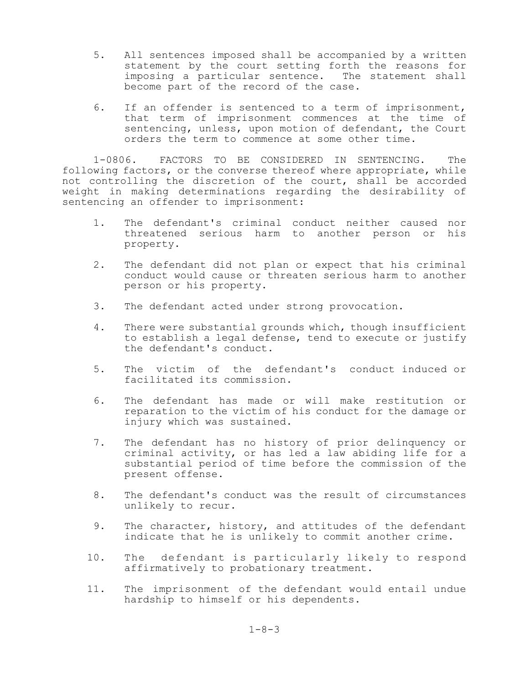- 5. All sentences imposed shall be accompanied by a written statement by the court setting forth the reasons for imposing a particular sentence. The statement shall become part of the record of the case.
- 6. If an offender is sentenced to a term of imprisonment, that term of imprisonment commences at the time of sentencing, unless, upon motion of defendant, the Court orders the term to commence at some other time.

1-0806. FACTORS TO BE CONSIDERED IN SENTENCING. The following factors, or the converse thereof where appropriate, while not controlling the discretion of the court, shall be accorded weight in making determinations regarding the desirability of sentencing an offender to imprisonment:

- 1. The defendant's criminal conduct neither caused nor threatened serious harm to another person or his property.
- 2. The defendant did not plan or expect that his criminal conduct would cause or threaten serious harm to another person or his property.
- 3. The defendant acted under strong provocation.
- 4. There were substantial grounds which, though insufficient to establish a legal defense, tend to execute or justify the defendant's conduct.
- 5. The victim of the defendant's conduct induced or facilitated its commission.
- 6. The defendant has made or will make restitution or reparation to the victim of his conduct for the damage or injury which was sustained.
- 7. The defendant has no history of prior delinquency or criminal activity, or has led a law abiding life for a substantial period of time before the commission of the present offense.
- 8. The defendant's conduct was the result of circumstances unlikely to recur.
- 9. The character, history, and attitudes of the defendant indicate that he is unlikely to commit another crime.
- 10. The defendant is particularly likely to respond affirmatively to probationary treatment.
- 11. The imprisonment of the defendant would entail undue hardship to himself or his dependents.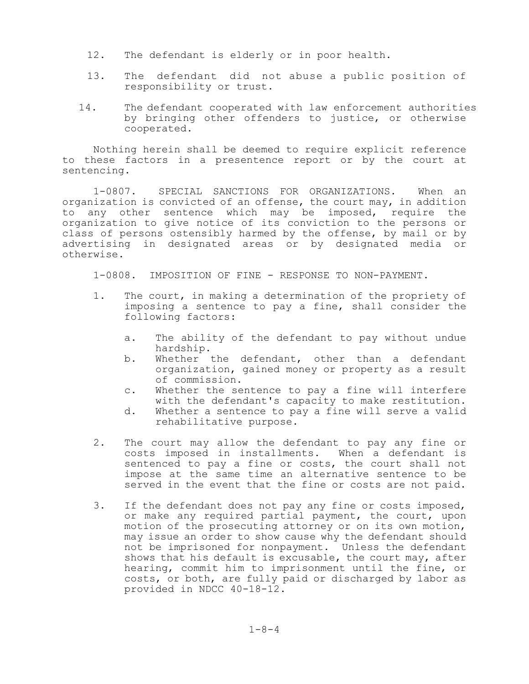- 12. The defendant is elderly or in poor health.
- 13. The defendant did not abuse a public position of responsibility or trust.
- 14. The defendant cooperated with law enforcement authorities by bringing other offenders to justice, or otherwise cooperated.

Nothing herein shall be deemed to require explicit reference to these factors in a presentence report or by the court at sentencing.

1-0807. SPECIAL SANCTIONS FOR ORGANIZATIONS. When an organization is convicted of an offense, the court may, in addition to any other sentence which may be imposed, require the organization to give notice of its conviction to the persons or class of persons ostensibly harmed by the offense, by mail or by advertising in designated areas or by designated media or otherwise.

1-0808. IMPOSITION OF FINE - RESPONSE TO NON-PAYMENT.

- 1. The court, in making a determination of the propriety of imposing a sentence to pay a fine, shall consider the following factors:
	- a. The ability of the defendant to pay without undue hardship.
	- b. Whether the defendant, other than a defendant organization, gained money or property as a result of commission.
	- c. Whether the sentence to pay a fine will interfere with the defendant's capacity to make restitution.
	- d. Whether a sentence to pay a fine will serve a valid rehabilitative purpose.
- 2. The court may allow the defendant to pay any fine or costs imposed in installments. When a defendant is sentenced to pay a fine or costs, the court shall not impose at the same time an alternative sentence to be served in the event that the fine or costs are not paid.
- 3. If the defendant does not pay any fine or costs imposed, or make any required partial payment, the court, upon motion of the prosecuting attorney or on its own motion, may issue an order to show cause why the defendant should not be imprisoned for nonpayment. Unless the defendant shows that his default is excusable, the court may, after hearing, commit him to imprisonment until the fine, or costs, or both, are fully paid or discharged by labor as provided in NDCC 40-18-12.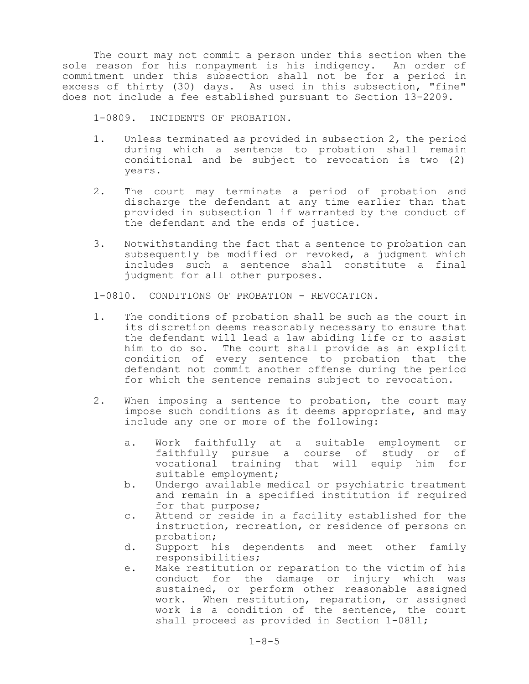The court may not commit a person under this section when the sole reason for his nonpayment is his indigency. An order of commitment under this subsection shall not be for a period in excess of thirty (30) days. As used in this subsection, "fine" does not include a fee established pursuant to Section 13-2209.

1-0809. INCIDENTS OF PROBATION.

- 1. Unless terminated as provided in subsection 2, the period during which a sentence to probation shall remain conditional and be subject to revocation is two (2) years.
- 2. The court may terminate a period of probation and discharge the defendant at any time earlier than that provided in subsection 1 if warranted by the conduct of the defendant and the ends of justice.
- 3. Notwithstanding the fact that a sentence to probation can subsequently be modified or revoked, a judgment which includes such a sentence shall constitute a final judgment for all other purposes.

1-0810. CONDITIONS OF PROBATION - REVOCATION.

- 1. The conditions of probation shall be such as the court in its discretion deems reasonably necessary to ensure that the defendant will lead a law abiding life or to assist him to do so. The court shall provide as an explicit condition of every sentence to probation that the defendant not commit another offense during the period for which the sentence remains subject to revocation.
- 2. When imposing a sentence to probation, the court may impose such conditions as it deems appropriate, and may include any one or more of the following:
	- a. Work faithfully at a suitable employment or faithfully pursue a course of study or of vocational training that will equip him for suitable employment;
	- b. Undergo available medical or psychiatric treatment and remain in a specified institution if required for that purpose;
	- c. Attend or reside in a facility established for the instruction, recreation, or residence of persons on probation;
	- d. Support his dependents and meet other family responsibilities;
	- e. Make restitution or reparation to the victim of his conduct for the damage or injury which was sustained, or perform other reasonable assigned work. When restitution, reparation, or assigned work is a condition of the sentence, the court shall proceed as provided in Section 1-0811;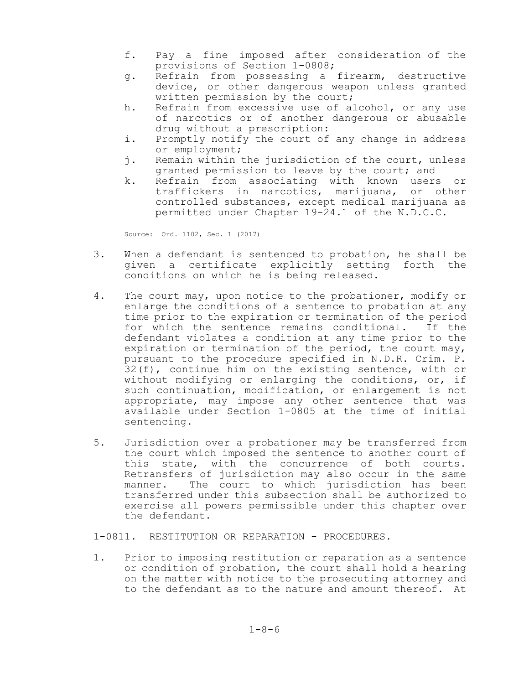- f. Pay a fine imposed after consideration of the provisions of Section 1-0808;
- g. Refrain from possessing a firearm, destructive device, or other dangerous weapon unless granted written permission by the court;
- h. Refrain from excessive use of alcohol, or any use of narcotics or of another dangerous or abusable drug without a prescription:
- i. Promptly notify the court of any change in address or employment;
- j. Remain within the jurisdiction of the court, unless granted permission to leave by the court; and
- k. Refrain from associating with known users or traffickers in narcotics, marijuana, or other controlled substances, except medical marijuana as permitted under Chapter 19-24.1 of the N.D.C.C.

Source: Ord. 1102, Sec. 1 (2017)

- 3. When a defendant is sentenced to probation, he shall be given a certificate explicitly setting forth the conditions on which he is being released.
- 4. The court may, upon notice to the probationer, modify or enlarge the conditions of a sentence to probation at any time prior to the expiration or termination of the period for which the sentence remains conditional. If the defendant violates a condition at any time prior to the expiration or termination of the period, the court may, pursuant to the procedure specified in N.D.R. Crim. P. 32(f), continue him on the existing sentence, with or without modifying or enlarging the conditions, or, if such continuation, modification, or enlargement is not appropriate, may impose any other sentence that was available under Section 1-0805 at the time of initial sentencing.
- 5. Jurisdiction over a probationer may be transferred from the court which imposed the sentence to another court of this state, with the concurrence of both courts. Retransfers of jurisdiction may also occur in the same manner. The court to which jurisdiction has been transferred under this subsection shall be authorized to exercise all powers permissible under this chapter over the defendant.

1-0811. RESTITUTION OR REPARATION - PROCEDURES.

1. Prior to imposing restitution or reparation as a sentence or condition of probation, the court shall hold a hearing on the matter with notice to the prosecuting attorney and to the defendant as to the nature and amount thereof. At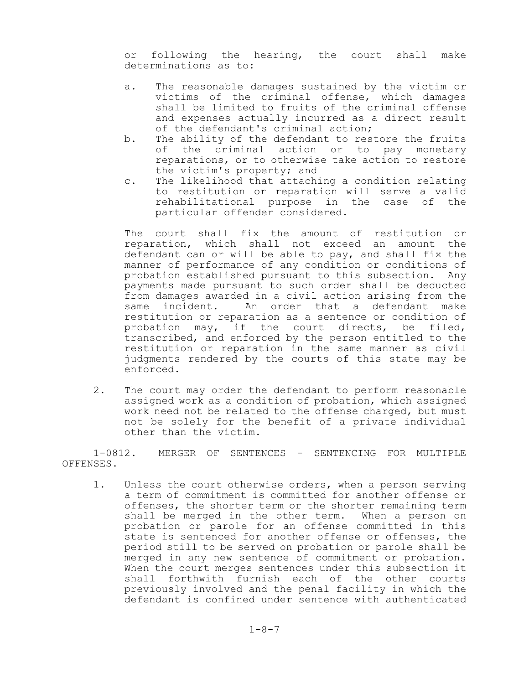or following the hearing, the court shall make determinations as to:

- a. The reasonable damages sustained by the victim or victims of the criminal offense, which damages shall be limited to fruits of the criminal offense and expenses actually incurred as a direct result of the defendant's criminal action;
- b. The ability of the defendant to restore the fruits of the criminal action or to pay monetary reparations, or to otherwise take action to restore the victim's property; and
- c. The likelihood that attaching a condition relating to restitution or reparation will serve a valid rehabilitational purpose in the case of the particular offender considered.

The court shall fix the amount of restitution or reparation, which shall not exceed an amount the defendant can or will be able to pay, and shall fix the manner of performance of any condition or conditions of probation established pursuant to this subsection. Any payments made pursuant to such order shall be deducted from damages awarded in a civil action arising from the same incident. An order that a defendant make restitution or reparation as a sentence or condition of probation may, if the court directs, be filed, transcribed, and enforced by the person entitled to the restitution or reparation in the same manner as civil judgments rendered by the courts of this state may be enforced.

2. The court may order the defendant to perform reasonable assigned work as a condition of probation, which assigned work need not be related to the offense charged, but must not be solely for the benefit of a private individual other than the victim.

1-0812. MERGER OF SENTENCES - SENTENCING FOR MULTIPLE OFFENSES.

1. Unless the court otherwise orders, when a person serving a term of commitment is committed for another offense or offenses, the shorter term or the shorter remaining term shall be merged in the other term. When a person on probation or parole for an offense committed in this state is sentenced for another offense or offenses, the period still to be served on probation or parole shall be merged in any new sentence of commitment or probation. When the court merges sentences under this subsection it shall forthwith furnish each of the other courts previously involved and the penal facility in which the defendant is confined under sentence with authenticated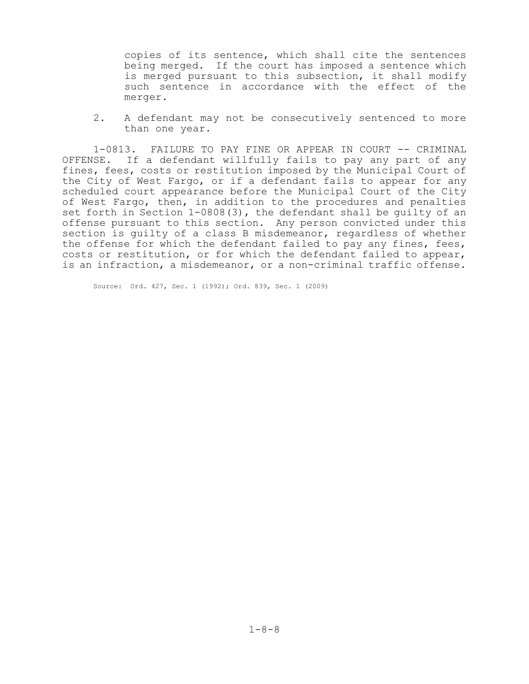copies of its sentence, which shall cite the sentences being merged. If the court has imposed a sentence which is merged pursuant to this subsection, it shall modify such sentence in accordance with the effect of the merger.

2. A defendant may not be consecutively sentenced to more than one year.

1-0813. FAILURE TO PAY FINE OR APPEAR IN COURT -- CRIMINAL OFFENSE. If a defendant willfully fails to pay any part of any fines, fees, costs or restitution imposed by the Municipal Court of the City of West Fargo, or if a defendant fails to appear for any scheduled court appearance before the Municipal Court of the City of West Fargo, then, in addition to the procedures and penalties set forth in Section 1-0808(3), the defendant shall be guilty of an offense pursuant to this section. Any person convicted under this section is guilty of a class B misdemeanor, regardless of whether the offense for which the defendant failed to pay any fines, fees, costs or restitution, or for which the defendant failed to appear, is an infraction, a misdemeanor, or a non-criminal traffic offense.

Source: Ord. 427, Sec. 1 (1992); Ord. 839, Sec. 1 (2009)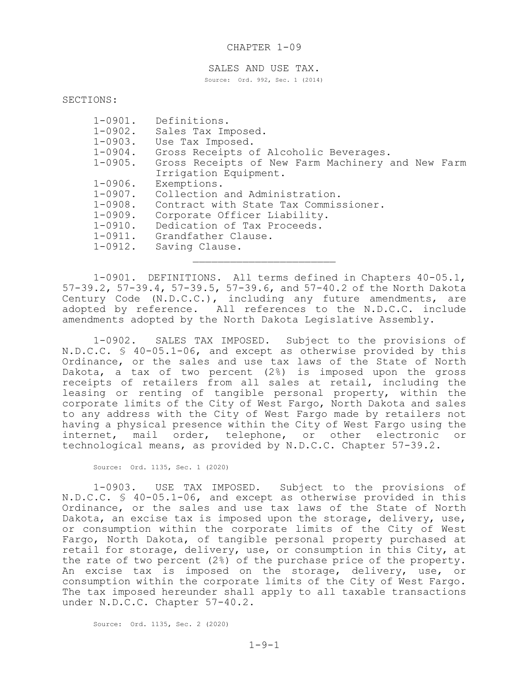#### SALES AND USE TAX.

Source: Ord. 992, Sec. 1 (2014)

SECTIONS:

| $1 - 0901$ . | Definitions.                                      |
|--------------|---------------------------------------------------|
| $1 - 0902$ . | Sales Tax Imposed.                                |
|              | 1-0903. Use Tax Imposed.                          |
| 1-0904.      | Gross Receipts of Alcoholic Beverages.            |
| $1 - 0905$ . | Gross Receipts of New Farm Machinery and New Farm |
|              | Irrigation Equipment.                             |
| $1 - 0906$ . | Exemptions.                                       |
| $1 - 0907$ . | Collection and Administration.                    |
| 1-0908.      | Contract with State Tax Commissioner.             |
| $1 - 0909$ . | Corporate Officer Liability.                      |
| $1 - 0910$ . | Dedication of Tax Proceeds.                       |
|              | 1-0911. Grandfather Clause.                       |
| 1-0912.      | Saving Clause.                                    |
|              |                                                   |
|              |                                                   |

1-0901. DEFINITIONS. All terms defined in Chapters 40-05.1, 57-39.2, 57-39.4, 57-39.5, 57-39.6, and 57-40.2 of the North Dakota Century Code (N.D.C.C.), including any future amendments, are adopted by reference. All references to the N.D.C.C. include amendments adopted by the North Dakota Legislative Assembly.

1-0902. SALES TAX IMPOSED. Subject to the provisions of N.D.C.C. § 40-05.1-06, and except as otherwise provided by this Ordinance, or the sales and use tax laws of the State of North Dakota, a tax of two percent (2%) is imposed upon the gross receipts of retailers from all sales at retail, including the leasing or renting of tangible personal property, within the corporate limits of the City of West Fargo, North Dakota and sales to any address with the City of West Fargo made by retailers not having a physical presence within the City of West Fargo using the internet, mail order, telephone, or other electronic or technological means, as provided by N.D.C.C. Chapter 57-39.2.

Source: Ord. 1135, Sec. 1 (2020)

1-0903. USE TAX IMPOSED. Subject to the provisions of N.D.C.C. § 40-05.1-06, and except as otherwise provided in this Ordinance, or the sales and use tax laws of the State of North Dakota, an excise tax is imposed upon the storage, delivery, use, or consumption within the corporate limits of the City of West Fargo, North Dakota, of tangible personal property purchased at retail for storage, delivery, use, or consumption in this City, at the rate of two percent (2%) of the purchase price of the property. An excise tax is imposed on the storage, delivery, use, or consumption within the corporate limits of the City of West Fargo. The tax imposed hereunder shall apply to all taxable transactions under N.D.C.C. Chapter 57-40.2.

Source: Ord. 1135, Sec. 2 (2020)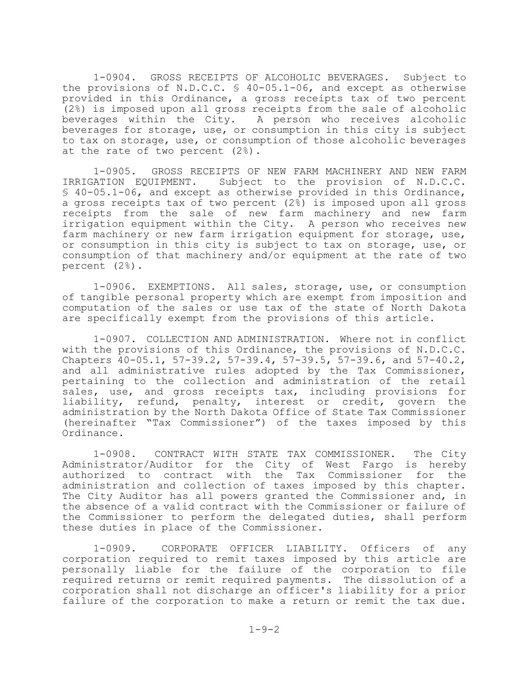1-0904. GROSS RECEIPTS OF ALCOHOLIC BEVERAGES. Subject to the provisions of N.D.C.C. § 40-05.1-06, and except as otherwise provided in this Ordinance, a gross receipts tax of two percent (2%) is imposed upon all gross receipts from the sale of alcoholic beverages within the City. A person who receives alcoholic beverages for storage, use, or consumption in this city is subject to tax on storage, use, or consumption of those alcoholic beverages at the rate of two percent (2%).

1-0905. GROSS RECEIPTS OF NEW FARM MACHINERY AND NEW FARM IRRIGATION EQUIPMENT. Subject to the provision of N.D.C.C. § 40-05.1-06, and except as otherwise provided in this Ordinance, a gross receipts tax of two percent (2%) is imposed upon all gross receipts from the sale of new farm machinery and new farm irrigation equipment within the City. A person who receives new farm machinery or new farm irrigation equipment for storage, use, or consumption in this city is subject to tax on storage, use, or consumption of that machinery and/or equipment at the rate of two percent (2%).

1-0906. EXEMPTIONS. All sales, storage, use, or consumption of tangible personal property which are exempt from imposition and computation of the sales or use tax of the state of North Dakota are specifically exempt from the provisions of this article.

1-0907. COLLECTION AND ADMINISTRATION. Where not in conflict with the provisions of this Ordinance, the provisions of N.D.C.C. Chapters 40-05.1, 57-39.2, 57-39.4, 57-39.5, 57-39.6, and 57-40.2, and all administrative rules adopted by the Tax Commissioner, pertaining to the collection and administration of the retail sales, use, and gross receipts tax, including provisions for liability, refund, penalty, interest or credit, govern the administration by the North Dakota Office of State Tax Commissioner (hereinafter "Tax Commissioner") of the taxes imposed by this Ordinance.

1-0908. CONTRACT WITH STATE TAX COMMISSIONER. The City Administrator/Auditor for the City of West Fargo is hereby authorized to contract with the Tax Commissioner for the administration and collection of taxes imposed by this chapter. The City Auditor has all powers granted the Commissioner and, in the absence of a valid contract with the Commissioner or failure of the Commissioner to perform the delegated duties, shall perform these duties in place of the Commissioner.

1-0909. CORPORATE OFFICER LIABILITY. Officers of any corporation required to remit taxes imposed by this article are personally liable for the failure of the corporation to file required returns or remit required payments. The dissolution of a corporation shall not discharge an officer's liability for a prior failure of the corporation to make a return or remit the tax due.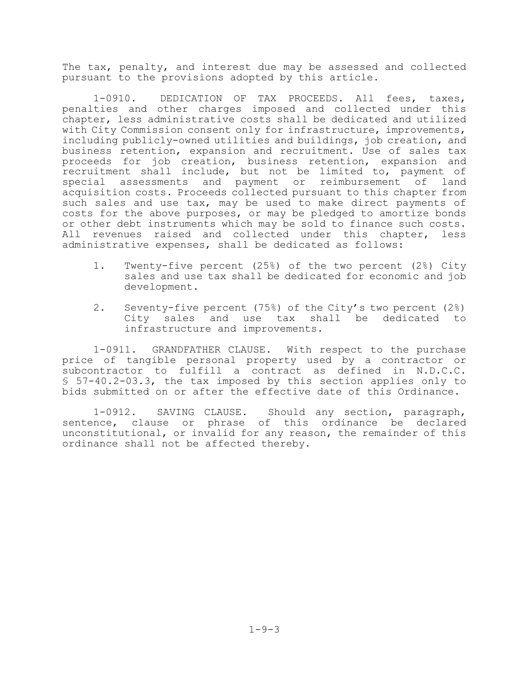The tax, penalty, and interest due may be assessed and collected pursuant to the provisions adopted by this article.

1-0910. DEDICATION OF TAX PROCEEDS. All fees, taxes, penalties and other charges imposed and collected under this chapter, less administrative costs shall be dedicated and utilized with City Commission consent only for infrastructure, improvements, including publicly-owned utilities and buildings, job creation, and business retention, expansion and recruitment. Use of sales tax proceeds for job creation, business retention, expansion and recruitment shall include, but not be limited to, payment of special assessments and payment or reimbursement of land acquisition costs. Proceeds collected pursuant to this chapter from such sales and use tax, may be used to make direct payments of costs for the above purposes, or may be pledged to amortize bonds or other debt instruments which may be sold to finance such costs. All revenues raised and collected under this chapter, less administrative expenses, shall be dedicated as follows:

- 1. Twenty-five percent (25%) of the two percent (2%) City sales and use tax shall be dedicated for economic and job development.
- 2. Seventy-five percent (75%) of the City's two percent (2%) City sales and use tax shall be dedicated to infrastructure and improvements.

1-0911. GRANDFATHER CLAUSE. With respect to the purchase price of tangible personal property used by a contractor or subcontractor to fulfill a contract as defined in N.D.C.C. § 57-40.2-03.3, the tax imposed by this section applies only to bids submitted on or after the effective date of this Ordinance.

1-0912. SAVING CLAUSE. Should any section, paragraph, sentence, clause or phrase of this ordinance be declared unconstitutional, or invalid for any reason, the remainder of this ordinance shall not be affected thereby.